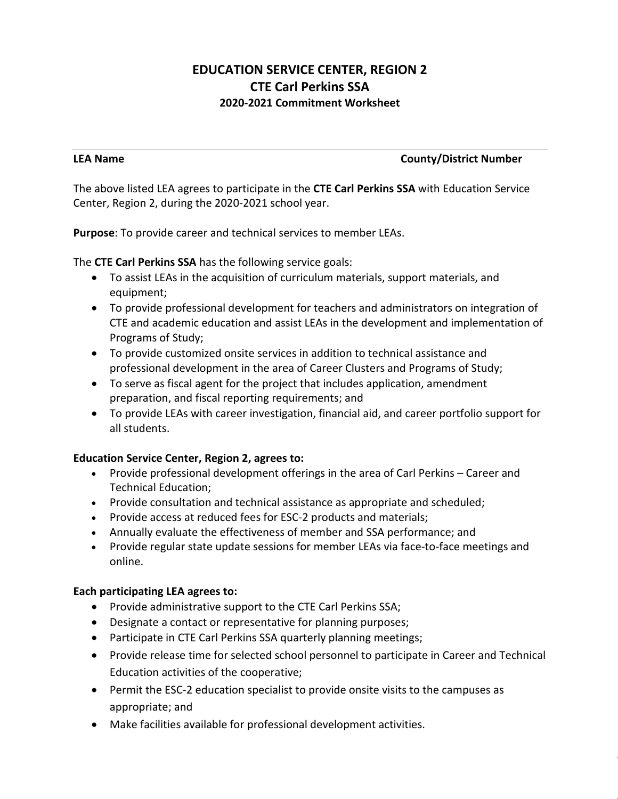# **EDUCATION SERVICE CENTER, REGION 2 CTE Carl Perkins SSA 2020-2021 Commitment Worksheet**

#### **LEA Name County/District Number**

The above listed LEA agrees to participate in the **CTE Carl Perkins SSA** with Education Service Center, Region 2, during the 2020-2021 school year.

**Purpose**: To provide career and technical services to member LEAs.

The **CTE Carl Perkins SSA** has the following service goals:

- To assist LEAs in the acquisition of curriculum materials, support materials, and equipment;
- To provide professional development for teachers and administrators on integration of CTE and academic education and assist LEAs in the development and implementation of Programs of Study;
- To provide customized onsite services in addition to technical assistance and professional development in the area of Career Clusters and Programs of Study;
- To serve as fiscal agent for the project that includes application, amendment preparation, and fiscal reporting requirements; and
- To provide LEAs with career investigation, financial aid, and career portfolio support for all students.

### **Education Service Center, Region 2, agrees to:**

- Provide professional development offerings in the area of Carl Perkins Career and Technical Education;
- Provide consultation and technical assistance as appropriate and scheduled;
- Provide access at reduced fees for ESC-2 products and materials;
- Annually evaluate the effectiveness of member and SSA performance; and
- Provide regular state update sessions for member LEAs via face-to-face meetings and online.

### **Each participating LEA agrees to:**

- Provide administrative support to the CTE Carl Perkins SSA;
- Designate a contact or representative for planning purposes;
- Participate in CTE Carl Perkins SSA quarterly planning meetings;
- Provide release time for selected school personnel to participate in Career and Technical Education activities of the cooperative;
- Permit the ESC-2 education specialist to provide onsite visits to the campuses as appropriate; and
- Make facilities available for professional development activities.